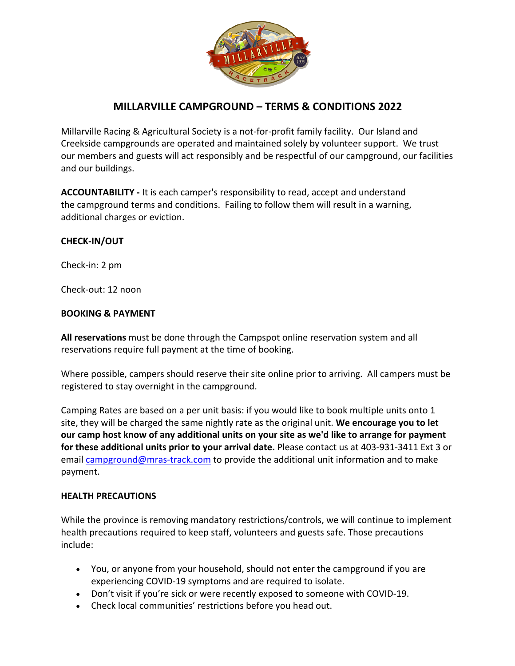

# **MILLARVILLE CAMPGROUND – TERMS & CONDITIONS 2022**

Millarville Racing & Agricultural Society is a not-for-profit family facility. Our Island and Creekside campgrounds are operated and maintained solely by volunteer support. We trust our members and guests will act responsibly and be respectful of our campground, our facilities and our buildings.

**ACCOUNTABILITY -** It is each camper's responsibility to read, accept and understand the campground terms and conditions.Failing to follow them will result in a warning, additional charges or eviction.

### **CHECK-IN/OUT**

Check-in: 2 pm

Check-out: 12 noon

#### **BOOKING & PAYMENT**

**All reservations** must be done through the Campspot online reservation system and all reservations require full payment at the time of booking.

Where possible, campers should reserve their site online prior to arriving. All campers must be registered to stay overnight in the campground.

Camping Rates are based on a per unit basis: if you would like to book multiple units onto 1 site, they will be charged the same nightly rate as the original unit. **We encourage you to let our camp host know of any additional units on your site as we'd like to arrange for payment for these additional units prior to your arrival date.** Please contact us at 403-931-3411 Ext 3 or email campground@mras-track.com to provide the additional unit information and to make payment.

#### **HEALTH PRECAUTIONS**

While the province is removing mandatory restrictions/controls, we will continue to implement health precautions required to keep staff, volunteers and guests safe. Those precautions include:

- You, or anyone from your household, should not enter the campground if you are experiencing COVID-19 symptoms and are required to isolate.
- Don't visit if you're sick or were recently exposed to someone with COVID-19.
- Check local communities' restrictions before you head out.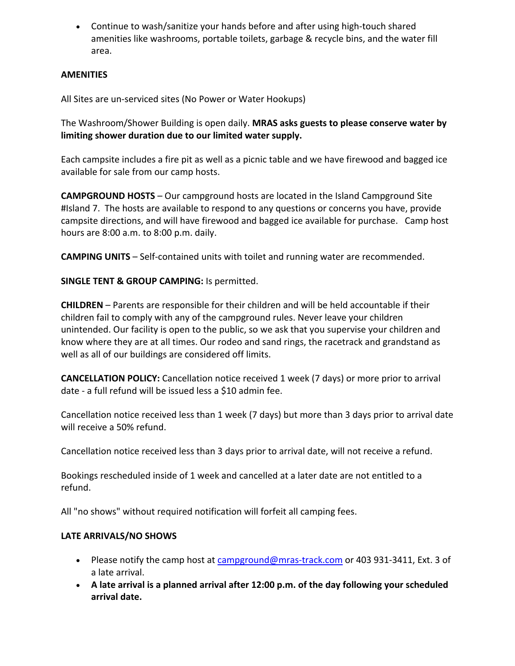• Continue to wash/sanitize your hands before and after using high-touch shared amenities like washrooms, portable toilets, garbage & recycle bins, and the water fill area.

### **AMENITIES**

All Sites are un-serviced sites (No Power or Water Hookups)

The Washroom/Shower Building is open daily. **MRAS asks guests to please conserve water by limiting shower duration due to our limited water supply.** 

Each campsite includes a fire pit as well as a picnic table and we have firewood and bagged ice available for sale from our camp hosts.

**CAMPGROUND HOSTS** – Our campground hosts are located in the Island Campground Site #Island 7. The hosts are available to respond to any questions or concerns you have, provide campsite directions, and will have firewood and bagged ice available for purchase. Camp host hours are 8:00 a.m. to 8:00 p.m. daily.

**CAMPING UNITS** – Self-contained units with toilet and running water are recommended.

**SINGLE TENT & GROUP CAMPING:** Is permitted.

**CHILDREN** – Parents are responsible for their children and will be held accountable if their children fail to comply with any of the campground rules. Never leave your children unintended. Our facility is open to the public, so we ask that you supervise your children and know where they are at all times. Our rodeo and sand rings, the racetrack and grandstand as well as all of our buildings are considered off limits.

**CANCELLATION POLICY:** Cancellation notice received 1 week (7 days) or more prior to arrival date - a full refund will be issued less a \$10 admin fee.

Cancellation notice received less than 1 week (7 days) but more than 3 days prior to arrival date will receive a 50% refund.

Cancellation notice received less than 3 days prior to arrival date, will not receive a refund.

Bookings rescheduled inside of 1 week and cancelled at a later date are not entitled to a refund.

All "no shows" without required notification will forfeit all camping fees.

### **LATE ARRIVALS/NO SHOWS**

- Please notify the camp host at campground@mras-track.com or 403 931-3411, Ext. 3 of a late arrival.
- **A late arrival is a planned arrival after 12:00 p.m. of the day following your scheduled arrival date.**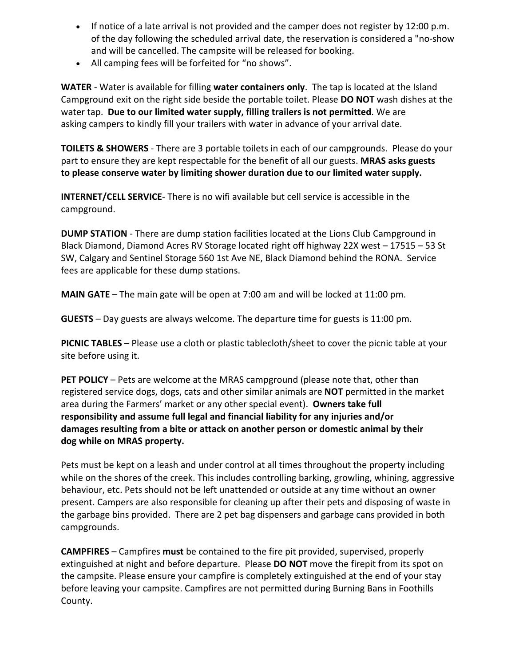- If notice of a late arrival is not provided and the camper does not register by 12:00 p.m. of the day following the scheduled arrival date, the reservation is considered a "no-show and will be cancelled. The campsite will be released for booking.
- All camping fees will be forfeited for "no shows".

**WATER** - Water is available for filling **water containers only**. The tap is located at the Island Campground exit on the right side beside the portable toilet. Please **DO NOT** wash dishes at the water tap. **Due to our limited water supply, filling trailers is not permitted**. We are asking campers to kindly fill your trailers with water in advance of your arrival date.

**TOILETS & SHOWERS** - There are 3 portable toilets in each of our campgrounds. Please do your part to ensure they are kept respectable for the benefit of all our guests. **MRAS asks guests to please conserve water by limiting shower duration due to our limited water supply.** 

**INTERNET/CELL SERVICE**- There is no wifi available but cell service is accessible in the campground.

**DUMP STATION** - There are dump station facilities located at the Lions Club Campground in Black Diamond, Diamond Acres RV Storage located right off highway 22X west – 17515 – 53 St SW, Calgary and Sentinel Storage 560 1st Ave NE, Black Diamond behind the RONA. Service fees are applicable for these dump stations.

**MAIN GATE** – The main gate will be open at 7:00 am and will be locked at 11:00 pm.

**GUESTS** – Day guests are always welcome. The departure time for guests is 11:00 pm.

**PICNIC TABLES** – Please use a cloth or plastic tablecloth/sheet to cover the picnic table at your site before using it.

**PET POLICY** – Pets are welcome at the MRAS campground (please note that, other than registered service dogs, dogs, cats and other similar animals are **NOT** permitted in the market area during the Farmers' market or any other special event). **Owners take full responsibility and assume full legal and financial liability for any injuries and/or damages resulting from a bite or attack on another person or domestic animal by their dog while on MRAS property.**

Pets must be kept on a leash and under control at all times throughout the property including while on the shores of the creek. This includes controlling barking, growling, whining, aggressive behaviour, etc. Pets should not be left unattended or outside at any time without an owner present. Campers are also responsible for cleaning up after their pets and disposing of waste in the garbage bins provided. There are 2 pet bag dispensers and garbage cans provided in both campgrounds.

**CAMPFIRES** – Campfires **must** be contained to the fire pit provided, supervised, properly extinguished at night and before departure. Please **DO NOT** move the firepit from its spot on the campsite. Please ensure your campfire is completely extinguished at the end of your stay before leaving your campsite. Campfires are not permitted during Burning Bans in Foothills County.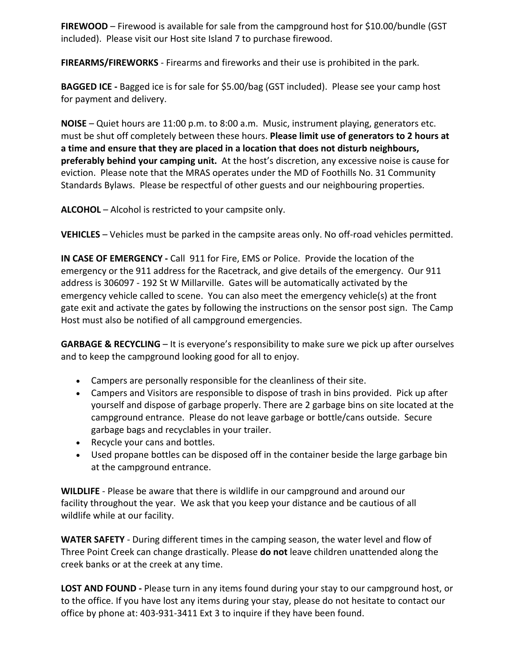**FIREWOOD** – Firewood is available for sale from the campground host for \$10.00/bundle (GST included). Please visit our Host site Island 7 to purchase firewood.

**FIREARMS/FIREWORKS** - Firearms and fireworks and their use is prohibited in the park.

**BAGGED ICE -** Bagged ice is for sale for \$5.00/bag (GST included). Please see your camp host for payment and delivery.

**NOISE** – Quiet hours are 11:00 p.m. to 8:00 a.m. Music, instrument playing, generators etc. must be shut off completely between these hours. **Please limit use of generators to 2 hours at a time and ensure that they are placed in a location that does not disturb neighbours, preferably behind your camping unit.** At the host's discretion, any excessive noise is cause for eviction. Please note that the MRAS operates under the MD of Foothills No. 31 Community Standards Bylaws. Please be respectful of other guests and our neighbouring properties.

**ALCOHOL** – Alcohol is restricted to your campsite only.

**VEHICLES** – Vehicles must be parked in the campsite areas only. No off-road vehicles permitted.

**IN CASE OF EMERGENCY -** Call 911 for Fire, EMS or Police. Provide the location of the emergency or the 911 address for the Racetrack, and give details of the emergency. Our 911 address is 306097 - 192 St W Millarville. Gates will be automatically activated by the emergency vehicle called to scene. You can also meet the emergency vehicle(s) at the front gate exit and activate the gates by following the instructions on the sensor post sign. The Camp Host must also be notified of all campground emergencies.

**GARBAGE & RECYCLING** – It is everyone's responsibility to make sure we pick up after ourselves and to keep the campground looking good for all to enjoy.

- Campers are personally responsible for the cleanliness of their site.
- Campers and Visitors are responsible to dispose of trash in bins provided. Pick up after yourself and dispose of garbage properly. There are 2 garbage bins on site located at the campground entrance. Please do not leave garbage or bottle/cans outside. Secure garbage bags and recyclables in your trailer.
- Recycle your cans and bottles.
- Used propane bottles can be disposed off in the container beside the large garbage bin at the campground entrance.

**WILDLIFE** - Please be aware that there is wildlife in our campground and around our facility throughout the year. We ask that you keep your distance and be cautious of all wildlife while at our facility.

**WATER SAFETY** - During different times in the camping season, the water level and flow of Three Point Creek can change drastically. Please **do not** leave children unattended along the creek banks or at the creek at any time.

**LOST AND FOUND -** Please turn in any items found during your stay to our campground host, or to the office. If you have lost any items during your stay, please do not hesitate to contact our office by phone at: 403-931-3411 Ext 3 to inquire if they have been found.